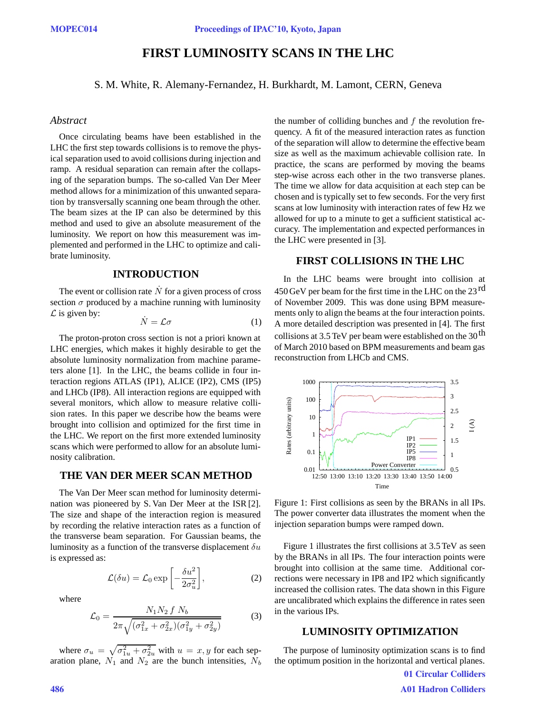# **FIRST LUMINOSITY SCANS IN THE LHC**

S. M. White, R. Alemany-Fernandez, H. Burkhardt, M. Lamont, CERN, Geneva

#### *Abstract*

Once circulating beams have been established in the LHC the first step towards collisions is to remove the physical separation used to avoid collisions during injection and ramp. A residual separation can remain after the collapsing of the separation bumps. The so-called Van Der Meer method allows for a minimization of this unwanted separation by transversally scanning one beam through the other. The beam sizes at the IP can also be determined by this method and used to give an absolute measurement of the luminosity. We report on how this measurement was implemented and performed in the LHC to optimize and calibrate luminosity.

### **INTRODUCTION**

The event or collision rate  $\dot{N}$  for a given process of cross section  $\sigma$  produced by a machine running with luminosity *L* is given by:

$$
\dot{N} = \mathcal{L}\sigma \tag{1}
$$

The proton-proton cross section is not a priori known at LHC energies, which makes it highly desirable to get the absolute luminosity normalization from machine parameters alone [1]. In the LHC, the beams collide in four interaction regions ATLAS (IP1), ALICE (IP2), CMS (IP5) and LHCb (IP8). All interaction regions are equipped with several monitors, which allow to measure relative collision rates. In this paper we describe how the beams were brought into collision and optimized for the first time in the LHC. We report on the first more extended luminosity scans which were performed to allow for an absolute luminosity calibration.

# **THE VAN DER MEER SCAN METHOD**

The Van Der Meer scan method for luminosity determination was pioneered by S. Van Der Meer at the ISR [2]. The size and shape of the interaction region is measured by recording the relative interaction rates as a function of the transverse beam separation. For Gaussian beams, the luminosity as a function of the transverse displacement  $\delta u$ is expressed as:

$$
\mathcal{L}(\delta u) = \mathcal{L}_0 \exp\left[-\frac{\delta u^2}{2\sigma_u^2}\right],\tag{2}
$$

where

$$
\mathcal{L}_0 = \frac{N_1 N_2 f N_b}{2\pi \sqrt{(\sigma_{1x}^2 + \sigma_{2x}^2)(\sigma_{1y}^2 + \sigma_{2y}^2)}}
$$
(3)

where  $\sigma_u = \sqrt{\sigma_{1u}^2 + \sigma_{2u}^2}$  with  $u = x, y$  for each separation plane,  $N_1$  and  $N_2$  are the bunch intensities,  $N_b$ 

the number of colliding bunches and  $f$  the revolution frequency. A fit of the measured interaction rates as function of the separation will allow to determine the effective beam size as well as the maximum achievable collision rate. In practice, the scans are performed by moving the beams step-wise across each other in the two transverse planes. The time we allow for data acquisition at each step can be chosen and is typically set to few seconds. For the very first scans at low luminosity with interaction rates of few Hz we allowed for up to a minute to get a sufficient statistical accuracy. The implementation and expected performances in the LHC were presented in [3].

#### **FIRST COLLISIONS IN THE LHC**

In the LHC beams were brought into collision at 450 GeV per beam for the first time in the LHC on the  $23<sup>rd</sup>$ of November 2009. This was done using BPM measurements only to align the beams at the four interaction points. A more detailed description was presented in [4]. The first collisions at 3.5 TeV per beam were established on the  $30<sup>th</sup>$ of March 2010 based on BPM measurements and beam gas reconstruction from LHCb and CMS.



Figure 1: First collisions as seen by the BRANs in all IPs. The power converter data illustrates the moment when the injection separation bumps were ramped down.

Figure 1 illustrates the first collisions at 3.5 TeV as seen by the BRANs in all IPs. The four interaction points were brought into collision at the same time. Additional corrections were necessary in IP8 and IP2 which significantly increased the collision rates. The data shown in this Figure are uncalibrated which explains the difference in rates seen in the various IPs.

# **LUMINOSITY OPTIMIZATION**

The purpose of luminosity optimization scans is to find the optimum position in the horizontal and vertical planes.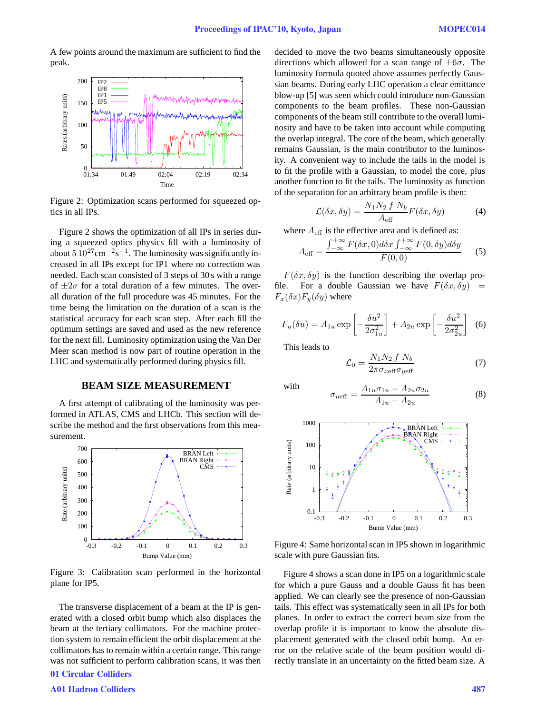A few points around the maximum are sufficient to find the peak.



Figure 2: Optimization scans performed for squeezed optics in all IPs.

Figure 2 shows the optimization of all IPs in series during a squeezed optics physics fill with a luminosity of about  $5.10^{27}$ cm<sup>-2</sup>s<sup>-1</sup>. The luminosity was significantly increased in all IPs except for IP1 where no correction was needed. Each scan consisted of 3 steps of 30 s with a range of  $\pm 2\sigma$  for a total duration of a few minutes. The overall duration of the full procedure was 45 minutes. For the time being the limitation on the duration of a scan is the statistical accuracy for each scan step. After each fill the optimum settings are saved and used as the new reference for the next fill. Luminosity optimization using the Van Der Meer scan method is now part of routine operation in the LHC and systematically performed during physics fill.

#### **BEAM SIZE MEASUREMENT**

A first attempt of calibrating of the luminosity was performed in ATLAS, CMS and LHCb. This section will describe the method and the first observations from this measurement.



Figure 3: Calibration scan performed in the horizontal plane for IP5.

The transverse displacement of a beam at the IP is generated with a closed orbit bump which also displaces the beam at the tertiary collimators. For the machine protection system to remain efficient the orbit displacement at the collimators has to remain within a certain range. This range was not sufficient to perform calibration scans, it was then 01 Circular Colliders

decided to move the two beams simultaneously opposite directions which allowed for a scan range of *<sup>±</sup>*6σ. The luminosity formula quoted above assumes perfectly Gaussian beams. During early LHC operation a clear emittance blow-up [5] was seen which could introduce non-Gaussian components to the beam profiles. These non-Gaussian components of the beam still contribute to the overall luminosity and have to be taken into account while computing the overlap integral. The core of the beam, which generally remains Gaussian, is the main contributor to the luminosity. A convenient way to include the tails in the model is to fit the profile with a Gaussian, to model the core, plus another function to fit the tails. The luminosity as function of the separation for an arbitrary beam profile is then:

$$
\mathcal{L}(\delta x, \delta y) = \frac{N_1 N_2 f N_b}{A_{\text{eff}}} F(\delta x, \delta y)
$$
 (4)

where  $A_{\text{eff}}$  is the effective area and is defined as:

$$
A_{\text{eff}} = \frac{\int_{-\infty}^{+\infty} F(\delta x, 0) d\delta x \int_{-\infty}^{+\infty} F(0, \delta y) d\delta y}{F(0, 0)}
$$
(5)

 $F(\delta x, \delta y)$  is the function describing the overlap profile. For a double Gaussian we have  $F(\delta x, \delta y) =$  $F_x(\delta x)F_y(\delta y)$  where

$$
F_u(\delta u) = A_{1u} \exp\left[-\frac{\delta u^2}{2\sigma_{1u}^2}\right] + A_{2u} \exp\left[-\frac{\delta u^2}{2\sigma_{2u}^2}\right] \tag{6}
$$

This leads to

$$
\mathcal{L}_0 = \frac{N_1 N_2 f N_b}{2\pi \sigma_{xe\text{ff}} \sigma_{ye\text{ff}}}
$$
(7)

with  $\sigma_{u \text{eff}} = \frac{A_{1u}\sigma_{1u} + A_{2u}\sigma_{2u}}{A_{1u} + A_{2u}}$ 



Figure 4: Same horizontal scan in IP5 shown in logarithmic scale with pure Gaussian fits.

Figure 4 shows a scan done in IP5 on a logarithmic scale for which a pure Gauss and a double Gauss fit has been applied. We can clearly see the presence of non-Gaussian tails. This effect was systematically seen in all IPs for both planes. In order to extract the correct beam size from the overlap profile it is important to know the absolute displacement generated with the closed orbit bump. An error on the relative scale of the beam position would directly translate in an uncertainty on the fitted beam size. A

#### A01 Hadron Colliders 487

(8)